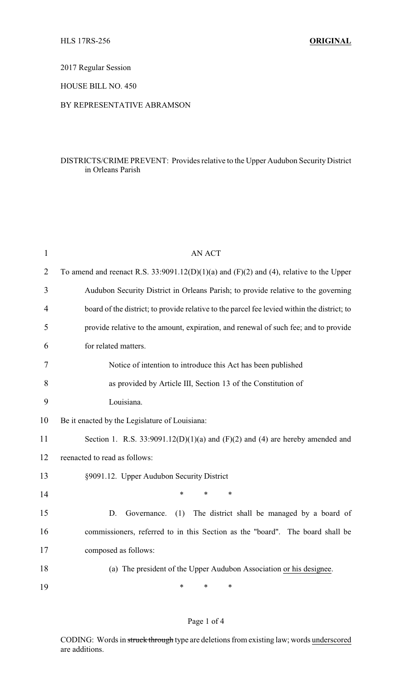2017 Regular Session

HOUSE BILL NO. 450

## BY REPRESENTATIVE ABRAMSON

# DISTRICTS/CRIME PREVENT: Provides relative to the Upper Audubon Security District in Orleans Parish

| $\mathbf{1}$   | <b>AN ACT</b>                                                                               |  |  |
|----------------|---------------------------------------------------------------------------------------------|--|--|
| $\overline{2}$ | To amend and reenact R.S. 33:9091.12(D)(1)(a) and (F)(2) and (4), relative to the Upper     |  |  |
| 3              | Audubon Security District in Orleans Parish; to provide relative to the governing           |  |  |
| 4              | board of the district; to provide relative to the parcel fee levied within the district; to |  |  |
| 5              | provide relative to the amount, expiration, and renewal of such fee; and to provide         |  |  |
| 6              | for related matters.                                                                        |  |  |
| 7              | Notice of intention to introduce this Act has been published                                |  |  |
| 8              | as provided by Article III, Section 13 of the Constitution of                               |  |  |
| 9              | Louisiana.                                                                                  |  |  |
| 10             | Be it enacted by the Legislature of Louisiana:                                              |  |  |
| 11             | Section 1. R.S. $33:9091.12(D)(1)(a)$ and $(F)(2)$ and $(4)$ are hereby amended and         |  |  |
| 12             | reenacted to read as follows:                                                               |  |  |
| 13             | §9091.12. Upper Audubon Security District                                                   |  |  |
| 14             | $\ast$<br>*<br>*                                                                            |  |  |
| 15             | The district shall be managed by a board of<br>D.<br>Governance.<br>(1)                     |  |  |
| 16             | commissioners, referred to in this Section as the "board". The board shall be               |  |  |
| 17             | composed as follows:                                                                        |  |  |
| 18             | (a) The president of the Upper Audubon Association or his designee.                         |  |  |
| 19             | $\ast$<br>*<br>*                                                                            |  |  |
|                |                                                                                             |  |  |

## Page 1 of 4

CODING: Words in struck through type are deletions from existing law; words underscored are additions.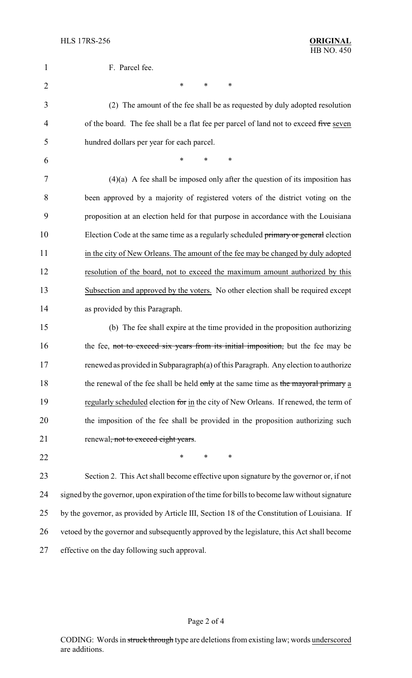| 1              | F. Parcel fee.                                                                                |  |  |
|----------------|-----------------------------------------------------------------------------------------------|--|--|
| $\overline{c}$ | ∗<br>$\ast$<br>∗                                                                              |  |  |
| 3              | (2) The amount of the fee shall be as requested by duly adopted resolution                    |  |  |
| 4              | of the board. The fee shall be a flat fee per parcel of land not to exceed five seven         |  |  |
| 5              | hundred dollars per year for each parcel.                                                     |  |  |
| 6              | *<br>*<br>∗                                                                                   |  |  |
| 7              | $(4)(a)$ A fee shall be imposed only after the question of its imposition has                 |  |  |
| 8              | been approved by a majority of registered voters of the district voting on the                |  |  |
| 9              | proposition at an election held for that purpose in accordance with the Louisiana             |  |  |
| 10             | Election Code at the same time as a regularly scheduled primary or general election           |  |  |
| 11             | in the city of New Orleans. The amount of the fee may be changed by duly adopted              |  |  |
| 12             | resolution of the board, not to exceed the maximum amount authorized by this                  |  |  |
| 13             | Subsection and approved by the voters. No other election shall be required except             |  |  |
| 14             | as provided by this Paragraph.                                                                |  |  |
| 15             | (b) The fee shall expire at the time provided in the proposition authorizing                  |  |  |
| 16             | the fee, not to exceed six years from its initial imposition, but the fee may be              |  |  |
| 17             | renewed as provided in Subparagraph(a) of this Paragraph. Any election to authorize           |  |  |
| 18             | the renewal of the fee shall be held only at the same time as the mayoral primary a           |  |  |
| 19             | regularly scheduled election for in the city of New Orleans. If renewed, the term of          |  |  |
| 20             | the imposition of the fee shall be provided in the proposition authorizing such               |  |  |
| 21             | renewal, not to exceed eight years.                                                           |  |  |
| 22             | ∗<br>∗<br>∗                                                                                   |  |  |
| 23             | Section 2. This Act shall become effective upon signature by the governor or, if not          |  |  |
| 24             | signed by the governor, upon expiration of the time for bills to become law without signature |  |  |
| 25             | by the governor, as provided by Article III, Section 18 of the Constitution of Louisiana. If  |  |  |
| 26             | vetoed by the governor and subsequently approved by the legislature, this Act shall become    |  |  |
| 27             | effective on the day following such approval.                                                 |  |  |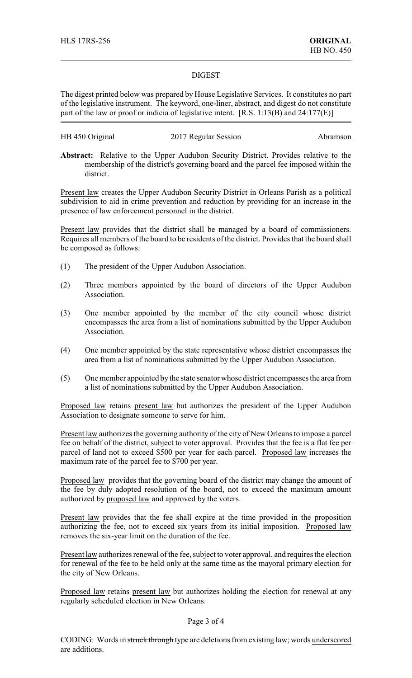#### DIGEST

The digest printed below was prepared by House Legislative Services. It constitutes no part of the legislative instrument. The keyword, one-liner, abstract, and digest do not constitute part of the law or proof or indicia of legislative intent. [R.S. 1:13(B) and 24:177(E)]

| HB 450 Original | 2017 Regular Session | Abramson |
|-----------------|----------------------|----------|
|-----------------|----------------------|----------|

**Abstract:** Relative to the Upper Audubon Security District. Provides relative to the membership of the district's governing board and the parcel fee imposed within the district.

Present law creates the Upper Audubon Security District in Orleans Parish as a political subdivision to aid in crime prevention and reduction by providing for an increase in the presence of law enforcement personnel in the district.

Present law provides that the district shall be managed by a board of commissioners. Requires all members of the board to be residents of the district. Provides that the board shall be composed as follows:

- (1) The president of the Upper Audubon Association.
- (2) Three members appointed by the board of directors of the Upper Audubon Association.
- (3) One member appointed by the member of the city council whose district encompasses the area from a list of nominations submitted by the Upper Audubon Association.
- (4) One member appointed by the state representative whose district encompasses the area from a list of nominations submitted by the Upper Audubon Association.
- (5) One member appointed by the state senator whose district encompasses the area from a list of nominations submitted by the Upper Audubon Association.

Proposed law retains present law but authorizes the president of the Upper Audubon Association to designate someone to serve for him.

Present law authorizes the governing authority of the city of New Orleans to impose a parcel fee on behalf of the district, subject to voter approval. Provides that the fee is a flat fee per parcel of land not to exceed \$500 per year for each parcel. Proposed law increases the maximum rate of the parcel fee to \$700 per year.

Proposed law provides that the governing board of the district may change the amount of the fee by duly adopted resolution of the board, not to exceed the maximum amount authorized by proposed law and approved by the voters.

Present law provides that the fee shall expire at the time provided in the proposition authorizing the fee, not to exceed six years from its initial imposition. Proposed law removes the six-year limit on the duration of the fee.

Present law authorizes renewal of the fee, subject to voter approval, and requires the election for renewal of the fee to be held only at the same time as the mayoral primary election for the city of New Orleans.

Proposed law retains present law but authorizes holding the election for renewal at any regularly scheduled election in New Orleans.

#### Page 3 of 4

CODING: Words in struck through type are deletions from existing law; words underscored are additions.